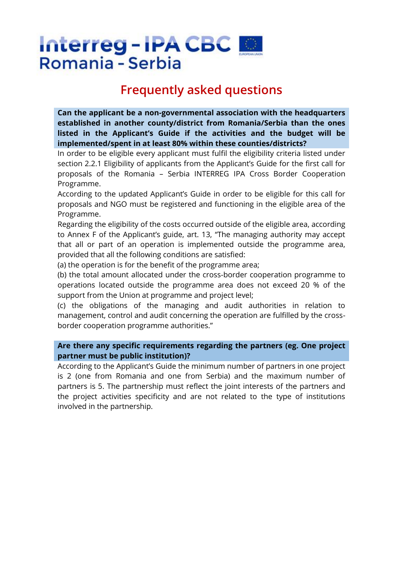# **Frequently asked questions**

**Can the applicant be a non-governmental association with the headquarters established in another county/district from Romania/Serbia than the ones listed in the Applicant's Guide if the activities and the budget will be implemented/spent in at least 80% within these counties/districts?**

In order to be eligible every applicant must fulfil the eligibility criteria listed under section 2.2.1 Eligibility of applicants from the Applicant's Guide for the first call for proposals of the Romania – Serbia INTERREG IPA Cross Border Cooperation Programme.

According to the updated Applicant's Guide in order to be eligible for this call for proposals and NGO must be registered and functioning in the eligible area of the Programme.

Regarding the eligibility of the costs occurred outside of the eligible area, according to Annex F of the Applicant's guide, art. 13, "The managing authority may accept that all or part of an operation is implemented outside the programme area, provided that all the following conditions are satisfied:

(a) the operation is for the benefit of the programme area;

(b) the total amount allocated under the cross-border cooperation programme to operations located outside the programme area does not exceed 20 % of the support from the Union at programme and project level;

(c) the obligations of the managing and audit authorities in relation to management, control and audit concerning the operation are fulfilled by the crossborder cooperation programme authorities."

# **Are there any specific requirements regarding the partners (eg. One project partner must be public institution)?**

According to the Applicant's Guide the minimum number of partners in one project is 2 (one from Romania and one from Serbia) and the maximum number of partners is 5. The partnership must reflect the joint interests of the partners and the project activities specificity and are not related to the type of institutions involved in the partnership.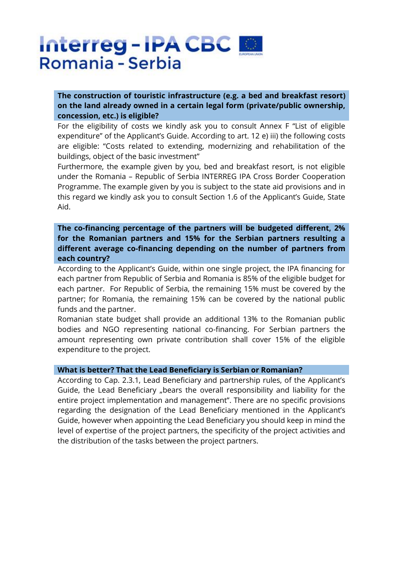# **The construction of touristic infrastructure (e.g. a bed and breakfast resort) on the land already owned in a certain legal form (private/public ownership, concession, etc.) is eligible?**

For the eligibility of costs we kindly ask you to consult Annex F "List of eligible expenditure" of the Applicant's Guide. According to art. 12 e) iii) the following costs are eligible: "Costs related to extending, modernizing and rehabilitation of the buildings, object of the basic investment"

Furthermore, the example given by you, bed and breakfast resort, is not eligible under the Romania – Republic of Serbia INTERREG IPA Cross Border Cooperation Programme. The example given by you is subject to the state aid provisions and in this regard we kindly ask you to consult Section 1.6 of the Applicant's Guide, State Aid.

# **The co-financing percentage of the partners will be budgeted different, 2% for the Romanian partners and 15% for the Serbian partners resulting a different average co-financing depending on the number of partners from each country?**

According to the Applicant's Guide, within one single project, the IPA financing for each partner from Republic of Serbia and Romania is 85% of the eligible budget for each partner. For Republic of Serbia, the remaining 15% must be covered by the partner; for Romania, the remaining 15% can be covered by the national public funds and the partner.

Romanian state budget shall provide an additional 13% to the Romanian public bodies and NGO representing national co-financing. For Serbian partners the amount representing own private contribution shall cover 15% of the eligible expenditure to the project.

### **What is better? That the Lead Beneficiary is Serbian or Romanian?**

According to Cap. 2.3.1, Lead Beneficiary and partnership rules, of the Applicant's Guide, the Lead Beneficiary "bears the overall responsibility and liability for the entire project implementation and management". There are no specific provisions regarding the designation of the Lead Beneficiary mentioned in the Applicant's Guide, however when appointing the Lead Beneficiary you should keep in mind the level of expertise of the project partners, the specificity of the project activities and the distribution of the tasks between the project partners.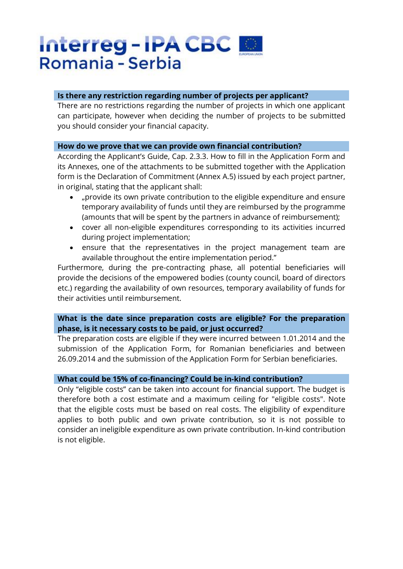### **Is there any restriction regarding number of projects per applicant?**

There are no restrictions regarding the number of projects in which one applicant can participate, however when deciding the number of projects to be submitted you should consider your financial capacity.

#### **How do we prove that we can provide own financial contribution?**

According the Applicant's Guide, Cap. 2.3.3. How to fill in the Application Form and its Annexes, one of the attachments to be submitted together with the Application form is the Declaration of Commitment (Annex A.5) issued by each project partner, in original, stating that the applicant shall:

- "provide its own private contribution to the eligible expenditure and ensure temporary availability of funds until they are reimbursed by the programme (amounts that will be spent by the partners in advance of reimbursement);
- cover all non-eligible expenditures corresponding to its activities incurred during project implementation;
- ensure that the representatives in the project management team are available throughout the entire implementation period."

Furthermore, during the pre-contracting phase, all potential beneficiaries will provide the decisions of the empowered bodies (county council, board of directors etc.) regarding the availability of own resources, temporary availability of funds for their activities until reimbursement.

# **What is the date since preparation costs are eligible? For the preparation phase, is it necessary costs to be paid, or just occurred?**

The preparation costs are eligible if they were incurred between 1.01.2014 and the submission of the Application Form, for Romanian beneficiaries and between 26.09.2014 and the submission of the Application Form for Serbian beneficiaries.

#### **What could be 15% of co-financing? Could be in-kind contribution?**

Only "eligible costs" can be taken into account for financial support. The budget is therefore both a cost estimate and a maximum ceiling for "eligible costs". Note that the eligible costs must be based on real costs. The eligibility of expenditure applies to both public and own private contribution, so it is not possible to consider an ineligible expenditure as own private contribution. In-kind contribution is not eligible.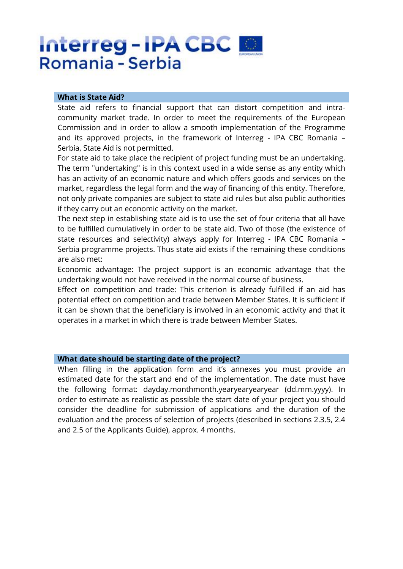#### **What is State Aid?**

State aid refers to financial support that can distort competition and intracommunity market trade. In order to meet the requirements of the European Commission and in order to allow a smooth implementation of the Programme and its approved projects, in the framework of Interreg - IPA CBC Romania – Serbia, State Aid is not permitted.

For state aid to take place the recipient of project funding must be an undertaking. The term "undertaking" is in this context used in a wide sense as any entity which has an activity of an economic nature and which offers goods and services on the market, regardless the legal form and the way of financing of this entity. Therefore, not only private companies are subject to state aid rules but also public authorities if they carry out an economic activity on the market.

The next step in establishing state aid is to use the set of four criteria that all have to be fulfilled cumulatively in order to be state aid. Two of those (the existence of state resources and selectivity) always apply for Interreg - IPA CBC Romania – Serbia programme projects. Thus state aid exists if the remaining these conditions are also met:

Economic advantage: The project support is an economic advantage that the undertaking would not have received in the normal course of business.

Effect on competition and trade: This criterion is already fulfilled if an aid has potential effect on competition and trade between Member States. It is sufficient if it can be shown that the beneficiary is involved in an economic activity and that it operates in a market in which there is trade between Member States.

#### **What date should be starting date of the project?**

When filling in the application form and it's annexes you must provide an estimated date for the start and end of the implementation. The date must have the following format: dayday.monthmonth.yearyearyearyear (dd.mm.yyyy). In order to estimate as realistic as possible the start date of your project you should consider the deadline for submission of applications and the duration of the evaluation and the process of selection of projects (described in sections 2.3.5, 2.4 and 2.5 of the Applicants Guide), approx. 4 months.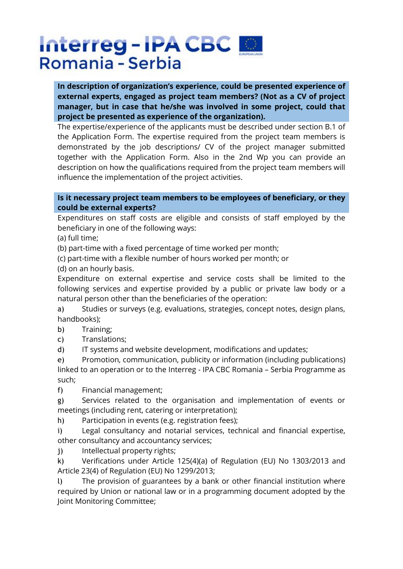**In description of organization's experience, could be presented experience of external experts, engaged as project team members? (Not as a CV of project manager, but in case that he/she was involved in some project, could that project be presented as experience of the organization).**

The expertise/experience of the applicants must be described under section B.1 of the Application Form. The expertise required from the project team members is demonstrated by the job descriptions/ CV of the project manager submitted together with the Application Form. Also in the 2nd Wp you can provide an description on how the qualifications required from the project team members will influence the implementation of the project activities.

### **Is it necessary project team members to be employees of beneficiary, or they could be external experts?**

Expenditures on staff costs are eligible and consists of staff employed by the beneficiary in one of the following ways:

(a) full time;

(b) part-time with a fixed percentage of time worked per month;

(c) part-time with a flexible number of hours worked per month; or

(d) on an hourly basis.

Expenditure on external expertise and service costs shall be limited to the following services and expertise provided by a public or private law body or a natural person other than the beneficiaries of the operation:

a) Studies or surveys (e.g. evaluations, strategies, concept notes, design plans, handbooks);

b) Training;

c) Translations;

d) IT systems and website development, modifications and updates;

e) Promotion, communication, publicity or information (including publications) linked to an operation or to the Interreg - IPA CBC Romania – Serbia Programme as such;

f) Financial management;

g) Services related to the organisation and implementation of events or meetings (including rent, catering or interpretation);

h) Participation in events (e.g. registration fees);

i) Legal consultancy and notarial services, technical and financial expertise, other consultancy and accountancy services;

j) Intellectual property rights;

k) Verifications under Article 125(4)(a) of Regulation (EU) No 1303/2013 and Article 23(4) of Regulation (EU) No 1299/2013;

l) The provision of guarantees by a bank or other financial institution where required by Union or national law or in a programming document adopted by the Joint Monitoring Committee;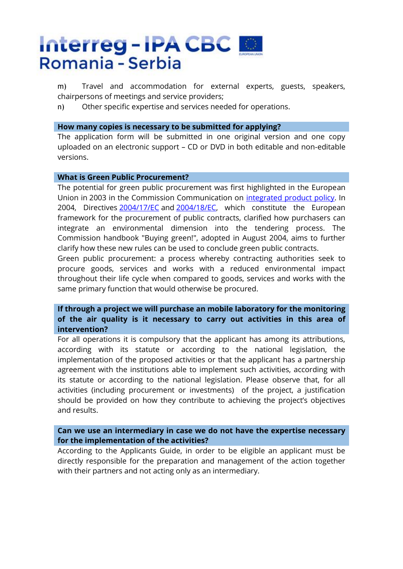m) Travel and accommodation for external experts, guests, speakers, chairpersons of meetings and service providers;

n) Other specific expertise and services needed for operations.

#### **How many copies is necessary to be submitted for applying?**

The application form will be submitted in one original version and one copy uploaded on an electronic support – CD or DVD in both editable and non-editable versions.

#### **What is Green Public Procurement?**

The potential for green public procurement was first highlighted in the European Union in 2003 in the Commission Communication on [integrated product policy.](http://eur-lex.europa.eu/legal-content/EN/AUTO/?uri=uriserv:l28011) In 2004, Directives [2004/17/EC](http://eur-lex.europa.eu/legal-content/EN/AUTO/?uri=uriserv:l22010) and [2004/18/EC,](http://eur-lex.europa.eu/legal-content/EN/AUTO/?uri=uriserv:l22009) which constitute the European framework for the procurement of public contracts, clarified how purchasers can integrate an environmental dimension into the tendering process. The Commission handbook "Buying green!", adopted in August 2004, aims to further clarify how these new rules can be used to conclude green public contracts.

Green public procurement: a process whereby contracting authorities seek to procure goods, services and works with a reduced environmental impact throughout their life cycle when compared to goods, services and works with the same primary function that would otherwise be procured.

# **If through a project we will purchase an mobile laboratory for the monitoring of the air quality is it necessary to carry out activities in this area of intervention?**

For all operations it is compulsory that the applicant has among its attributions, according with its statute or according to the national legislation, the implementation of the proposed activities or that the applicant has a partnership agreement with the institutions able to implement such activities, according with its statute or according to the national legislation. Please observe that, for all activities (including procurement or investments) of the project, a justification should be provided on how they contribute to achieving the project's objectives and results.

### **Can we use an intermediary in case we do not have the expertise necessary for the implementation of the activities?**

According to the Applicants Guide, in order to be eligible an applicant must be directly responsible for the preparation and management of the action together with their partners and not acting only as an intermediary.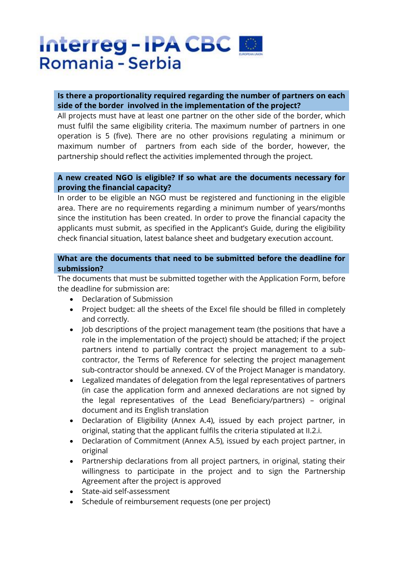# **Is there a proportionality required regarding the number of partners on each side of the border involved in the implementation of the project?**

All projects must have at least one partner on the other side of the border, which must fulfil the same eligibility criteria. The maximum number of partners in one operation is 5 (five). There are no other provisions regulating a minimum or maximum number of partners from each side of the border, however, the partnership should reflect the activities implemented through the project.

### **A new created NGO is eligible? If so what are the documents necessary for proving the financial capacity?**

In order to be eligible an NGO must be registered and functioning in the eligible area. There are no requirements regarding a minimum number of years/months since the institution has been created. In order to prove the financial capacity the applicants must submit, as specified in the Applicant's Guide, during the eligibility check financial situation, latest balance sheet and budgetary execution account.

# **What are the documents that need to be submitted before the deadline for submission?**

The documents that must be submitted together with the Application Form, before the deadline for submission are:

- Declaration of Submission
- Project budget: all the sheets of the Excel file should be filled in completely and correctly.
- Job descriptions of the project management team (the positions that have a role in the implementation of the project) should be attached; if the project partners intend to partially contract the project management to a subcontractor, the Terms of Reference for selecting the project management sub-contractor should be annexed. CV of the Project Manager is mandatory.
- Legalized mandates of delegation from the legal representatives of partners (in case the application form and annexed declarations are not signed by the legal representatives of the Lead Beneficiary/partners) – original document and its English translation
- Declaration of Eligibility (Annex A.4), issued by each project partner, in original, stating that the applicant fulfils the criteria stipulated at II.2.i.
- Declaration of Commitment (Annex A.5), issued by each project partner, in original
- Partnership declarations from all project partners, in original, stating their willingness to participate in the project and to sign the Partnership Agreement after the project is approved
- State-aid self-assessment
- Schedule of reimbursement requests (one per project)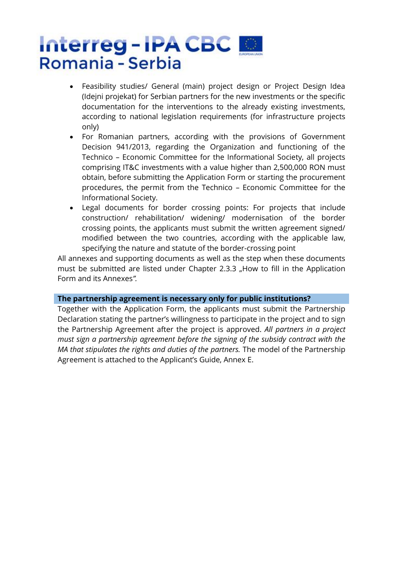- Feasibility studies/ General (main) project design or Project Design Idea (Idejni projekat) for Serbian partners for the new investments or the specific documentation for the interventions to the already existing investments, according to national legislation requirements (for infrastructure projects only)
- For Romanian partners, according with the provisions of Government Decision 941/2013, regarding the Organization and functioning of the Technico – Economic Committee for the Informational Society, all projects comprising IT&C investments with a value higher than 2,500,000 RON must obtain, before submitting the Application Form or starting the procurement procedures, the permit from the Technico – Economic Committee for the Informational Society.
- Legal documents for border crossing points: For projects that include construction/ rehabilitation/ widening/ modernisation of the border crossing points, the applicants must submit the written agreement signed/ modified between the two countries, according with the applicable law, specifying the nature and statute of the border-crossing point

All annexes and supporting documents as well as the step when these documents must be submitted are listed under Chapter 2.3.3 "How to fill in the Application Form and its Annexes*".*

### **The partnership agreement is necessary only for public institutions?**

Together with the Application Form, the applicants must submit the Partnership Declaration stating the partner's willingness to participate in the project and to sign the Partnership Agreement after the project is approved. *All partners in a project must sign a partnership agreement before the signing of the subsidy contract with the MA that stipulates the rights and duties of the partners.* The model of the Partnership Agreement is attached to the Applicant's Guide, Annex E.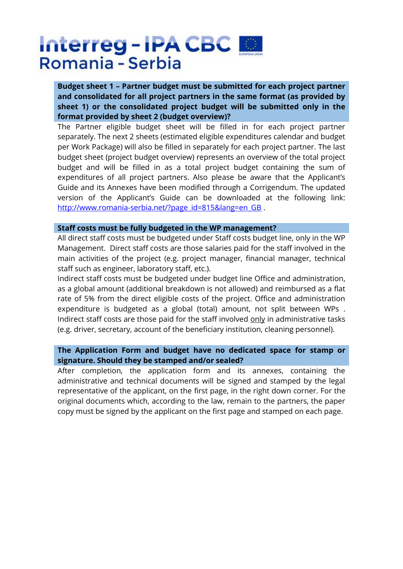**Budget sheet 1 – Partner budget must be submitted for each project partner and consolidated for all project partners in the same format (as provided by sheet 1) or the consolidated project budget will be submitted only in the format provided by sheet 2 (budget overview)?**

The Partner eligible budget sheet will be filled in for each project partner separately. The next 2 sheets (estimated eligible expenditures calendar and budget per Work Package) will also be filled in separately for each project partner. The last budget sheet (project budget overview) represents an overview of the total project budget and will be filled in as a total project budget containing the sum of expenditures of all project partners. Also please be aware that the Applicant's Guide and its Annexes have been modified through a Corrigendum. The updated version of the Applicant's Guide can be downloaded at the following link: [http://www.romania-serbia.net/?page\\_id=815&lang=en\\_GB](http://www.romania-serbia.net/?page_id=815&lang=en_GB).

#### **Staff costs must be fully budgeted in the WP management?**

All direct staff costs must be budgeted under Staff costs budget line, only in the WP Management. Direct staff costs are those salaries paid for the staff involved in the main activities of the project (e.g. project manager, financial manager, technical staff such as engineer, laboratory staff, etc.).

Indirect staff costs must be budgeted under budget line Office and administration, as a global amount (additional breakdown is not allowed) and reimbursed as a flat rate of 5% from the direct eligible costs of the project. Office and administration expenditure is budgeted as a global (total) amount, not split between WPs . Indirect staff costs are those paid for the staff involved only in administrative tasks (e.g. driver, secretary, account of the beneficiary institution, cleaning personnel).

### **The Application Form and budget have no dedicated space for stamp or signature. Should they be stamped and/or sealed?**

After completion, the application form and its annexes, containing the administrative and technical documents will be signed and stamped by the legal representative of the applicant, on the first page, in the right down corner. For the original documents which, according to the law, remain to the partners, the paper copy must be signed by the applicant on the first page and stamped on each page.